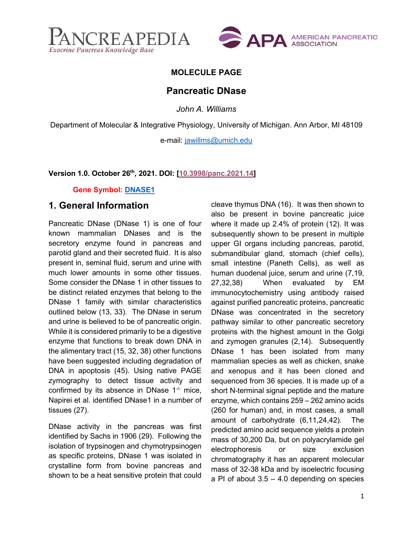



### **MOLECULE PAGE**

### **Pancreatic DNase**

*John A. Williams*

Department of Molecular & Integrative Physiology, University of Michigan. Ann Arbor, MI 48109

e-mail: [jawillms@umich.edu](mailto:jawillms@umich.edu)

#### **Version 1.0. October 26th, 2021. DOI: [\[10.3998/panc.2021.14\]](https://www.pancreapedia.org/molecules/pancreatic-dnase)**

#### **Gene Symbol: [DNASE1](https://www.ncbi.nlm.nih.gov/gene/1773)**

### **1. General Information**

Pancreatic DNase (DNase 1) is one of four known mammalian DNases and is the secretory enzyme found in pancreas and parotid gland and their secreted fluid. It is also present in, seminal fluid, serum and urine with much lower amounts in some other tissues. Some consider the DNase 1 in other tissues to be distinct related enzymes that belong to the DNase 1 family with similar characteristics outlined below (13, 33). The DNase in serum and urine is believed to be of pancreatic origin. While it is considered primarily to be a digestive enzyme that functions to break down DNA in the alimentary tract (15, 32, 38) other functions have been suggested including degradation of DNA in apoptosis (45). Using native PAGE zymography to detect tissue activity and confirmed by its absence in DNase  $1<sup>-/-</sup>$  mice, Napirei et al. identified DNase1 in a number of tissues (27).

DNase activity in the pancreas was first identified by Sachs in 1906 (29). Following the isolation of trypsinogen and chymotrypsinogen as specific proteins, DNase 1 was isolated in crystalline form from bovine pancreas and shown to be a heat sensitive protein that could cleave thymus DNA (16). It was then shown to also be present in bovine pancreatic juice where it made up 2.4% of protein (12). It was subsequently shown to be present in multiple upper GI organs including pancreas, parotid, submandibular gland, stomach (chief cells), small intestine (Paneth Cells), as well as human duodenal juice, serum and urine (7,19, 27,32,38) When evaluated by EM immunocytochemistry using antibody raised against purified pancreatic proteins, pancreatic DNase was concentrated in the secretory pathway similar to other pancreatic secretory proteins with the highest amount in the Golgi and zymogen granules (2,14). Subsequently DNase 1 has been isolated from many mammalian species as well as chicken, snake and xenopus and it has been cloned and sequenced from 36 species. It is made up of a short N-terminal signal peptide and the mature enzyme, which contains 259 – 262 amino acids (260 for human) and, in most cases, a small amount of carbohydrate (6,11,24,42). The predicted amino acid sequence yields a protein mass of 30,200 Da, but on polyacrylamide gel electrophoresis or size exclusion chromatography it has an apparent molecular mass of 32-38 kDa and by isoelectric focusing a PI of about  $3.5 - 4.0$  depending on species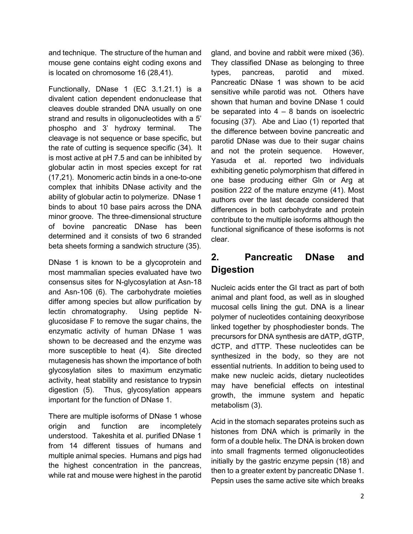and technique. The structure of the human and mouse gene contains eight coding exons and is located on chromosome 16 (28,41).

Functionally, DNase 1 (EC 3.1.21.1) is a divalent cation dependent endonuclease that cleaves double stranded DNA usually on one strand and results in oligonucleotides with a 5' phospho and 3' hydroxy terminal. The cleavage is not sequence or base specific, but the rate of cutting is sequence specific (34). It is most active at pH 7.5 and can be inhibited by globular actin in most species except for rat (17,21). Monomeric actin binds in a one-to-one complex that inhibits DNase activity and the ability of globular actin to polymerize. DNase 1 binds to about 10 base pairs across the DNA minor groove. The three-dimensional structure of bovine pancreatic DNase has been determined and it consists of two 6 stranded beta sheets forming a sandwich structure (35).

DNase 1 is known to be a glycoprotein and most mammalian species evaluated have two consensus sites for N-glycosylation at Asn-18 and Asn-106 (6). The carbohydrate moieties differ among species but allow purification by lectin chromatography. Using peptide Nglucosidase F to remove the sugar chains, the enzymatic activity of human DNase 1 was shown to be decreased and the enzyme was more susceptible to heat (4). Site directed mutagenesis has shown the importance of both glycosylation sites to maximum enzymatic activity, heat stability and resistance to trypsin digestion (5). Thus, glycosylation appears important for the function of DNase 1.

There are multiple isoforms of DNase 1 whose origin and function are incompletely understood. Takeshita et al. purified DNase 1 from 14 different tissues of humans and multiple animal species. Humans and pigs had the highest concentration in the pancreas, while rat and mouse were highest in the parotid gland, and bovine and rabbit were mixed (36). They classified DNase as belonging to three types, pancreas, parotid and mixed. Pancreatic DNase 1 was shown to be acid sensitive while parotid was not. Others have shown that human and bovine DNase 1 could be separated into  $4 - 8$  bands on isoelectric focusing (37). Abe and Liao (1) reported that the difference between bovine pancreatic and parotid DNase was due to their sugar chains and not the protein sequence. However, Yasuda et al. reported two individuals exhibiting genetic polymorphism that differed in one base producing either Gln or Arg at position 222 of the mature enzyme (41). Most authors over the last decade considered that differences in both carbohydrate and protein contribute to the multiple isoforms although the functional significance of these isoforms is not clear.

# **2. Pancreatic DNase and Digestion**

Nucleic acids enter the GI tract as part of both animal and plant food, as well as in sloughed mucosal cells lining the gut. DNA is a linear polymer of nucleotides containing deoxyribose linked together by phosphodiester bonds. The precursors for DNA synthesis are dATP, dGTP, dCTP, and dTTP. These nucleotides can be synthesized in the body, so they are not essential nutrients. In addition to being used to make new nucleic acids, dietary nucleotides may have beneficial effects on intestinal growth, the immune system and hepatic metabolism (3).

Acid in the stomach separates proteins such as histones from DNA which is primarily in the form of a double helix. The DNA is broken down into small fragments termed oligonucleotides initially by the gastric enzyme pepsin (18) and then to a greater extent by pancreatic DNase 1. Pepsin uses the same active site which breaks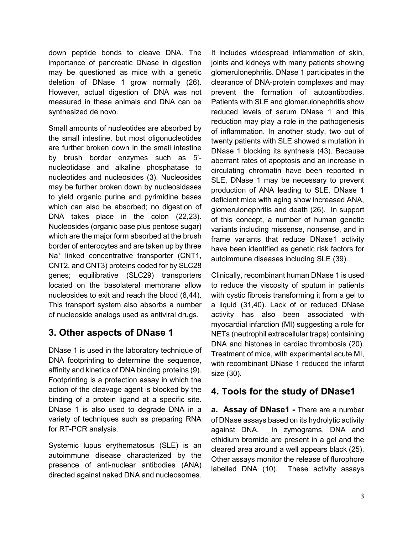down peptide bonds to cleave DNA. The importance of pancreatic DNase in digestion may be questioned as mice with a genetic deletion of DNase 1 grow normally (26). However, actual digestion of DNA was not measured in these animals and DNA can be synthesized de novo.

Small amounts of nucleotides are absorbed by the small intestine, but most oligonucleotides are further broken down in the small intestine by brush border enzymes such as 5' nucleotidase and alkaline phosphatase to nucleotides and nucleosides (3). Nucleosides may be further broken down by nucleosidases to yield organic purine and pyrimidine bases which can also be absorbed; no digestion of DNA takes place in the colon (22,23). Nucleosides (organic base plus pentose sugar) which are the major form absorbed at the brush border of enterocytes and are taken up by three Na<sup>+</sup> linked concentrative transporter (CNT1, CNT2, and CNT3) proteins coded for by SLC28 genes; equilibrative (SLC29) transporters located on the basolateral membrane allow nucleosides to exit and reach the blood (8,44). This transport system also absorbs a number of nucleoside analogs used as antiviral drugs.

# **3. Other aspects of DNase 1**

DNase 1 is used in the laboratory technique of DNA footprinting to determine the sequence, affinity and kinetics of DNA binding proteins (9). Footprinting is a protection assay in which the action of the cleavage agent is blocked by the binding of a protein ligand at a specific site. DNase 1 is also used to degrade DNA in a variety of techniques such as preparing RNA for RT-PCR analysis.

Systemic lupus erythematosus (SLE) is an autoimmune disease characterized by the presence of anti-nuclear antibodies (ANA) directed against naked DNA and nucleosomes. It includes widespread inflammation of skin, joints and kidneys with many patients showing glomerulonephritis. DNase 1 participates in the clearance of DNA-protein complexes and may prevent the formation of autoantibodies. Patients with SLE and glomerulonephritis show reduced levels of serum DNase 1 and this reduction may play a role in the pathogenesis of inflammation. In another study, two out of twenty patients with SLE showed a mutation in DNase 1 blocking its synthesis (43). Because aberrant rates of apoptosis and an increase in circulating chromatin have been reported in SLE, DNase 1 may be necessary to prevent production of ANA leading to SLE. DNase 1 deficient mice with aging show increased ANA, glomerulonephritis and death (26). In support of this concept, a number of human genetic variants including missense, nonsense, and in frame variants that reduce DNase1 activity have been identified as genetic risk factors for autoimmune diseases including SLE (39).

Clinically, recombinant human DNase 1 is used to reduce the viscosity of sputum in patients with cystic fibrosis transforming it from a gel to a liquid (31,40). Lack of or reduced DNase activity has also been associated with myocardial infarction (MI) suggesting a role for NETs (neutrophil extracellular traps) containing DNA and histones in cardiac thrombosis (20). Treatment of mice, with experimental acute MI, with recombinant DNase 1 reduced the infarct size (30).

## **4. Tools for the study of DNase1**

**a. Assay of DNase1 -** There are a number of DNase assays based on its hydrolytic activity against DNA. In zymograms, DNA and ethidium bromide are present in a gel and the cleared area around a well appears black (25). Other assays monitor the release of flurophore labelled DNA (10). These activity assays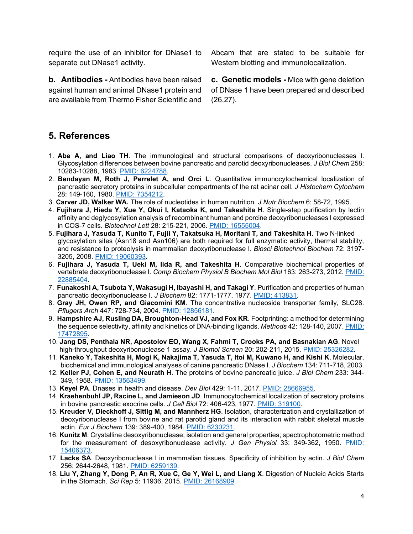require the use of an inhibitor for DNase1 to separate out DNase1 activity.

**b. Antibodies -** Antibodies have been raised against human and animal DNase1 protein and are available from Thermo Fisher Scientific and Abcam that are stated to be suitable for Western blotting and immunolocalization.

**c. Genetic models -** Mice with gene deletion of DNase 1 have been prepared and described (26,27).

## **5. References**

- 1. **Abe A, and Liao TH**. The immunological and structural comparisons of deoxyribonucleases I. Glycosylation differences between bovine pancreatic and parotid deoxyribonucleases. *J Biol Chem* 258: 10283-10288, 1983. [PMID: 6224788.](https://pubmed.ncbi.nlm.nih.gov/6224788/)
- 2. **Bendayan M, Roth J, Perrelet A, and Orci L**. Quantitative immunocytochemical localization of pancreatic secretory proteins in subcellular compartments of the rat acinar cell. *J Histochem Cytochem*  28: 149-160, 1980. [PMID: 7354212.](https://pubmed.ncbi.nlm.nih.gov/7354212/)
- 3. **Carver JD, Walker WA.** The role of nucleotides in human nutrition. *J Nutr Biochem* 6: 58-72, 1995.
- 4. **Fujihara J, Hieda Y, Xue Y, Okui I, Kataoka K, and Takeshita H**. Single-step purification by lectin affinity and deglycosylation analysis of recombinant human and porcine deoxyribonucleases I expressed in COS-7 cells. *Biotechnol Lett* 28: 215-221, 2006. [PMID: 16555004.](https://pubmed.ncbi.nlm.nih.gov/16555004/)
- 5. **Fujihara J, Yasuda T, Kunito T, Fujii Y, Takatsuka H, Moritani T, and Takeshita H**. Two N-linked glycosylation sites (Asn18 and Asn106) are both required for full enzymatic activity, thermal stability, and resistance to proteolysis in mammalian deoxyribonuclease I. *Biosci Biotechnol Biochem* 72: 3197- 3205, 2008. [PMID: 19060393.](https://pubmed.ncbi.nlm.nih.gov/19060393/)
- 6. **Fujihara J, Yasuda T, Ueki M, Iida R, and Takeshita H**. Comparative biochemical properties of vertebrate deoxyribonuclease I. *Comp Biochem Physiol B Biochem Mol Biol* 163: 263-273, 2012. [PMID:](https://pubmed.ncbi.nlm.nih.gov/22885404/)  [22885404.](https://pubmed.ncbi.nlm.nih.gov/22885404/)
- 7. **Funakoshi A, Tsubota Y, Wakasugi H, Ibayashi H, and Takagi Y**. Purification and properties of human pancreatic deoxyribonuclease I. *J Biochem* 82: 1771-1777, 1977. [PMID: 413831.](https://pubmed.ncbi.nlm.nih.gov/413831/)
- 8. **Gray JH, Owen RP, and Giacomini KM**. The concentrative nucleoside transporter family, SLC28. *Pflugers Arch* 447: 728-734, 2004. [PMID: 12856181.](https://pubmed.ncbi.nlm.nih.gov/12856181/)
- 9. **Hampshire AJ, Rusling DA, Broughton-Head VJ, and Fox KR**. Footprinting: a method for determining the sequence selectivity, affinity and kinetics of DNA-binding ligands. *Methods* 42: 128-140, 2007. [PMID:](https://pubmed.ncbi.nlm.nih.gov/17472895/)  [17472895.](https://pubmed.ncbi.nlm.nih.gov/17472895/)
- 10. **Jang DS, Penthala NR, Apostolov EO, Wang X, Fahmi T, Crooks PA, and Basnakian AG**. Novel high-throughput deoxyribonuclease 1 assay. *J Biomol Screen* 20: 202-211, 2015. [PMID: 25326282.](https://pubmed.ncbi.nlm.nih.gov/25326282/)
- 11. **Kaneko Y, Takeshita H, Mogi K, Nakajima T, Yasuda T, Itoi M, Kuwano H, and Kishi K**. Molecular, biochemical and immunological analyses of canine pancreatic DNase I. *J Biochem* 134: 711-718, 2003.
- 12. **Keller PJ, Cohen E, and Neurath H**. The proteins of bovine pancreatic juice. *J Biol Chem* 233: 344- 349, 1958. [PMID: 13563499.](https://pubmed.ncbi.nlm.nih.gov/13563499/)
- 13. **Keyel PA**. Dnases in health and disease. *Dev Biol* 429: 1-11, 2017. [PMID: 28666955.](https://pubmed.ncbi.nlm.nih.gov/28666955/)
- 14. **Kraehenbuhl JP, Racine L, and Jamieson JD**. Immunocytochemical localization of secretory proteins in bovine pancreatic exocrine cells. *J Cell Biol* 72: 406-423, 1977. [PMID: 319100.](https://pubmed.ncbi.nlm.nih.gov/319100/)
- 15. **Kreuder V, Dieckhoff J, Sittig M, and Mannherz HG**. Isolation, characterization and crystallization of deoxyribonuclease I from bovine and rat parotid gland and its interaction with rabbit skeletal muscle actin. *Eur J Biochem* 139: 389-400, 1984. [PMID: 6230231.](https://pubmed.ncbi.nlm.nih.gov/6230231/)
- 16. **Kunitz M**. Crystalline desoxyribonuclease; isolation and general properties; spectrophotometric method for the measurement of desoxyribonuclease activity. *J Gen Physiol* 33: 349-362, 1950. [PMID:](https://pubmed.ncbi.nlm.nih.gov/15406373/)  [15406373.](https://pubmed.ncbi.nlm.nih.gov/15406373/)
- 17. **Lacks SA**. Deoxyribonuclease I in mammalian tissues. Specificity of inhibition by actin. *J Biol Chem*  256: 2644-2648, 1981. [PMID: 6259139.](https://pubmed.ncbi.nlm.nih.gov/6259139/)
- 18. **Liu Y, Zhang Y, Dong P, An R, Xue C, Ge Y, Wei L, and Liang X**. Digestion of Nucleic Acids Starts in the Stomach. *Sci Rep* 5: 11936, 2015. [PMID: 26168909.](https://pubmed.ncbi.nlm.nih.gov/26168909/)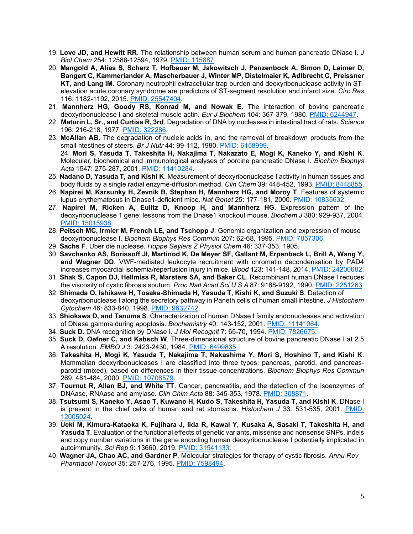- 19. **Love JD, and Hewitt RR**. The relationship between human serum and human pancreatic DNase I. *J Biol Chem* 254: 12588-12594, 1979. [PMID: 115887.](https://pubmed.ncbi.nlm.nih.gov/115887/)
- 20. **Mangold A, Alias S, Scherz T, Hofbauer M, Jakowitsch J, Panzenbock A, Simon D, Laimer D, Bangert C, Kammerlander A, Mascherbauer J, Winter MP, Distelmaier K, Adlbrecht C, Preissner KT, and Lang IM**. Coronary neutrophil extracellular trap burden and deoxyribonuclease activity in STelevation acute coronary syndrome are predictors of ST-segment resolution and infarct size. *Circ Res*  116: 1182-1192, 2015. [PMID: 25547404.](https://pubmed.ncbi.nlm.nih.gov/25547404/)
- 21. **Mannherz HG, Goody RS, Konrad M, and Nowak E**. The interaction of bovine pancreatic deoxyribonuclease I and skeletal muscle actin. *Eur J Biochem* 104: 367-379, 1980. [PMID: 6244947.](https://pubmed.ncbi.nlm.nih.gov/6244947/)
- 22. **Maturin L, Sr., and Curtiss R, 3rd**. Degradation of DNA by nucleases in intestinal tract of rats. *Science* 196: 216-218, 1977. [PMID: 322286.](https://pubmed.ncbi.nlm.nih.gov/322286/)
- 23. **McAllan AB**. The degradation of nucleic acids in, and the removal of breakdown products from the small ntestines of steers. *Br J Nutr* 44: 99-112, 1980. [PMID: 6158999.](https://pubmed.ncbi.nlm.nih.gov/6158999/) 24. **Mori S, Yasuda T, Takeshita H, Nakajima T, Nakazato E, Mogi K, Kaneko Y, and Kishi K**. Molecular, biochemical and immunological analyses of porcine pancreatic DNase I. *Biochim Biophys Acta* 1547: 275-287, 2001. [PMID: 11410284.](https://pubmed.ncbi.nlm.nih.gov/11410284/)
- 25. **Nadano D, Yasuda T, and Kishi K**. Measurement of deoxyribonuclease I activity in human tissues and body fluids by a single radial enzyme-diffusion method. *Clin Chem* 39: 448-452, 1993. [PMID: 8448855.](https://pubmed.ncbi.nlm.nih.gov/8448855/)
- 26. **Napirei M, Karsunky H, Zevnik B, Stephan H, Mannherz HG, and Moroy T**. Features of systemic lupus erythematosus in Dnase1-deficient mice. *Nat Genet* 25: 177-181, 2000. [PMID: 10835632.](https://pubmed.ncbi.nlm.nih.gov/10835632/)
- 27. **Napirei M, Ricken A, Eulitz D, Knoop H, and Mannherz HG**. Expression pattern of the deoxyribonuclease 1 gene: lessons from the Dnase1 knockout mouse. *Biochem J* 380: 929-937, 2004. [PMID: 15015938.](https://pubmed.ncbi.nlm.nih.gov/15015938/)
- 28. **Peitsch MC, Irmler M, French LE, and Tschopp J**. Genomic organization and expression of mouse deoxyribonuclease I. *Biochem Biophys Res Commun* 207: 62-68, 1995. [PMID: 7857306.](https://pubmed.ncbi.nlm.nih.gov/7857306/)
- 29. **Sachs F**. Uber die nuclease. *Hoppe Seylers Z Physiol Chem* 46: 337-353, 1905.
- 30. **Savchenko AS, Borissoff JI, Martinod K, De Meyer SF, Gallant M, Erpenbeck L, Brill A, Wang Y, and Wagner DD**. VWF-mediated leukocyte recruitment with chromatin decondensation by PAD4 increases myocardial ischemia/reperfusion injury in mice. *Blood* 123: 141-148, 2014. [PMID: 24200682.](https://pubmed.ncbi.nlm.nih.gov/24200682/)
- 31. **Shak S, Capon DJ, Hellmiss R, Marsters SA, and Baker CL**. Recombinant human DNase I reduces the viscosity of cystic fibrosis sputum. *Proc Natl Acad Sci U S A* 87: 9188-9192, 1990. [PMID: 2251263.](https://pubmed.ncbi.nlm.nih.gov/2251263/)
- 32. **Shimada O, Ishikawa H, Tosaka-Shimada H, Yasuda T, Kishi K, and Suzuki S**. Detection of deoxyribonuclease I along the secretory pathway in Paneth cells of human small intestine. *J Histochem Cytochem* 46: 833-840, 1998. [PMID: 9632742.](https://pubmed.ncbi.nlm.nih.gov/9632742/)
- 33. **Shiokawa D, and Tanuma S**. Characterization of human DNase I family endonucleases and activation of DNase gamma during apoptosis. *Biochemistry* 40: 143-152, 2001. [PMID: 11141064.](https://pubmed.ncbi.nlm.nih.gov/11141064/)
- 34. **Suck D**. DNA recognition by DNase I. *J Mol Recognit* 7: 65-70, 1994. [PMID: 7826675.](https://pubmed.ncbi.nlm.nih.gov/7826675/)
- 35. **Suck D, Oefner C, and Kabsch W**. Three-dimensional structure of bovine pancreatic DNase I at 2.5 A resolution. *EMBO J* 3: 2423-2430, 1984. [PMID: 6499835.](https://pubmed.ncbi.nlm.nih.gov/6499835/)
- 36. **Takeshita H, Mogi K, Yasuda T, Nakajima T, Nakashima Y, Mori S, Hoshino T, and Kishi K**. Mammalian deoxyribonucleases I are classified into three types: pancreas, parotid, and pancreasparotid (mixed), based on differences in their tissue concentrations. *Biochem Biophys Res Commun*  269: 481-484, 2000. [PMID: 10708579.](https://pubmed.ncbi.nlm.nih.gov/10708579/)
- 37. **Tournut R, Allan BJ, and White TT**. Cancer, pancreatitis, and the detection of the isoenzymes of DNAase, RNAase and amylase. *Clin Chim Acta* 88: 345-353, 1978. [PMID: 308871.](https://pubmed.ncbi.nlm.nih.gov/308871/)
- 38. **Tsutsumi S, Kaneko Y, Asao T, Kuwano H, Kudo S, Takeshita H, Yasuda T, and Kishi K**. DNase I is present in the chief cells of human and rat stomachs. *Histochem J* 33: 531-535, 2001. [PMID:](https://pubmed.ncbi.nlm.nih.gov/12005024/)  [12005024.](https://pubmed.ncbi.nlm.nih.gov/12005024/)
- 39. **Ueki M, Kimura-Kataoka K, Fujihara J, Iida R, Kawai Y, Kusaka A, Sasaki T, Takeshita H, and Yasuda T**. Evaluation of the functional effects of genetic variants, missense and nonsense SNPs, indels and copy number variations in the gene encoding human deoxyribonuclease I potentially implicated in autoimmunity. *Sci Rep* 9: 13660, 2019. [PMID: 31541133.](https://pubmed.ncbi.nlm.nih.gov/31541133/)
- 40. **Wagner JA, Chao AC, and Gardner P**. Molecular strategies for therapy of cystic fibrosis. *Annu Rev Pharmacol Toxicol* 35: 257-276, 1995. [PMID: 7598494.](https://pubmed.ncbi.nlm.nih.gov/7598494/)